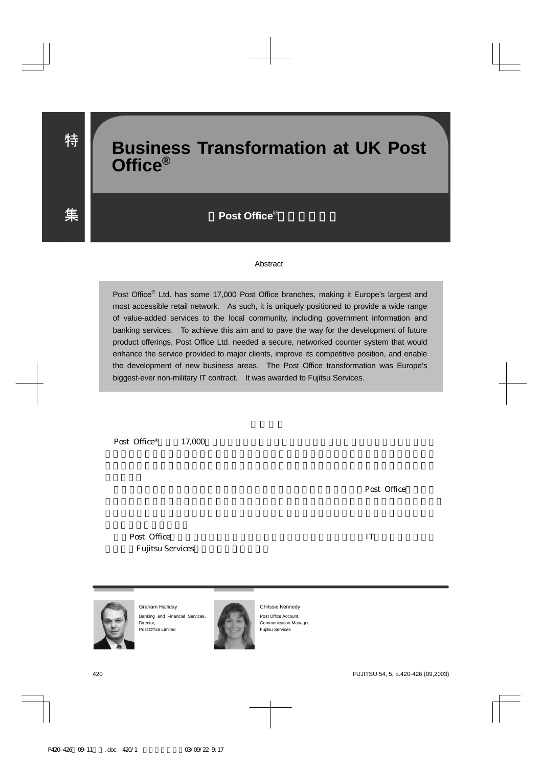# **Business Transformation at UK Post Office®**

Post Office<sup>®</sup>

#### Abstract

Post Office<sup>®</sup> Ltd. has some 17,000 Post Office branches, making it Europe's largest and most accessible retail network. As such, it is uniquely positioned to provide a wide range of value-added services to the local community, including government information and banking services. To achieve this aim and to pave the way for the development of future product offerings, Post Office Ltd. needed a secure, networked counter system that would enhance the service provided to major clients, improve its competitive position, and enable the development of new business areas. The Post Office transformation was Europe's biggest-ever non-military IT contract. It was awarded to Fujitsu Services.

Post Office<sup>®</sup> 17,000

Post Office

Post Office TV Post Office Fujitsu Services



Graham Halliday Banking and Financial Services, Director, Post Office Limited



Chrissie Kennedy Post Office Account, Communication Manager, Fujitsu Services

特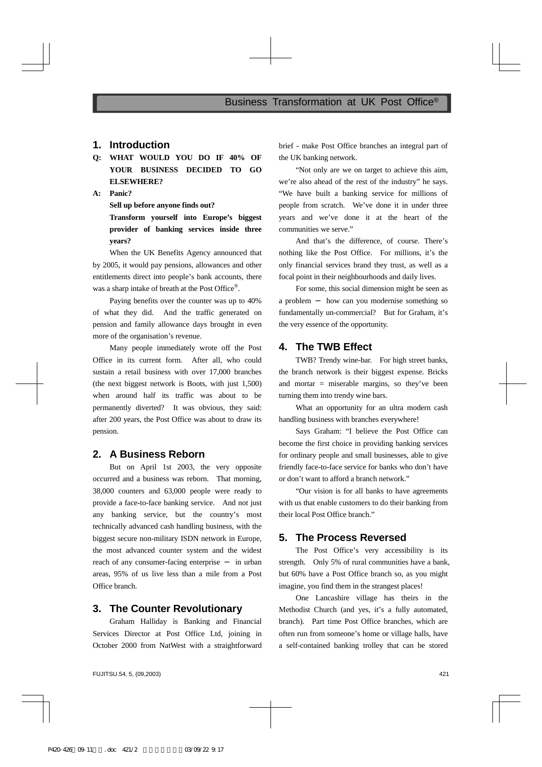#### **1. Introduction**

**Q: WHAT WOULD YOU DO IF 40% OF YOUR BUSINESS DECIDED TO GO ELSEWHERE?** 

**A: Panic?** 

**Sell up before anyone finds out?** 

**Transform yourself into Europe's biggest provider of banking services inside three years?** 

When the UK Benefits Agency announced that by 2005, it would pay pensions, allowances and other entitlements direct into people's bank accounts, there was a sharp intake of breath at the Post Office<sup>®</sup>.

Paying benefits over the counter was up to 40% of what they did. And the traffic generated on pension and family allowance days brought in even more of the organisation's revenue.

Many people immediately wrote off the Post Office in its current form. After all, who could sustain a retail business with over 17,000 branches (the next biggest network is Boots, with just 1,500) when around half its traffic was about to be permanently diverted? It was obvious, they said: after 200 years, the Post Office was about to draw its pension.

#### **2. A Business Reborn**

But on April 1st 2003, the very opposite occurred and a business was reborn. That morning, 38,000 counters and 63,000 people were ready to provide a face-to-face banking service. And not just any banking service, but the country's most technically advanced cash handling business, with the biggest secure non-military ISDN network in Europe, the most advanced counter system and the widest reach of any consumer-facing enterprise in urban areas, 95% of us live less than a mile from a Post Office branch.

#### **3. The Counter Revolutionary**

Graham Halliday is Banking and Financial Services Director at Post Office Ltd, joining in October 2000 from NatWest with a straightforward brief - make Post Office branches an integral part of the UK banking network.

"Not only are we on target to achieve this aim, we're also ahead of the rest of the industry" he says. "We have built a banking service for millions of people from scratch. We've done it in under three years and we've done it at the heart of the communities we serve."

And that's the difference, of course. There's nothing like the Post Office. For millions, it's the only financial services brand they trust, as well as a focal point in their neighbourhoods and daily lives.

For some, this social dimension might be seen as a problem how can you modernise something so fundamentally un-commercial? But for Graham, it's the very essence of the opportunity.

### **4. The TWB Effect**

TWB? Trendy wine-bar. For high street banks, the branch network is their biggest expense. Bricks and mortar  $=$  miserable margins, so they've been turning them into trendy wine bars.

What an opportunity for an ultra modern cash handling business with branches everywhere!

Says Graham: "I believe the Post Office can become the first choice in providing banking services for ordinary people and small businesses, able to give friendly face-to-face service for banks who don't have or don't want to afford a branch network."

"Our vision is for all banks to have agreements with us that enable customers to do their banking from their local Post Office branch."

#### **5. The Process Reversed**

The Post Office's very accessibility is its strength. Only 5% of rural communities have a bank, but 60% have a Post Office branch so, as you might imagine, you find them in the strangest places!

One Lancashire village has theirs in the Methodist Church (and yes, it's a fully automated, branch). Part time Post Office branches, which are often run from someone's home or village halls, have a self-contained banking trolley that can be stored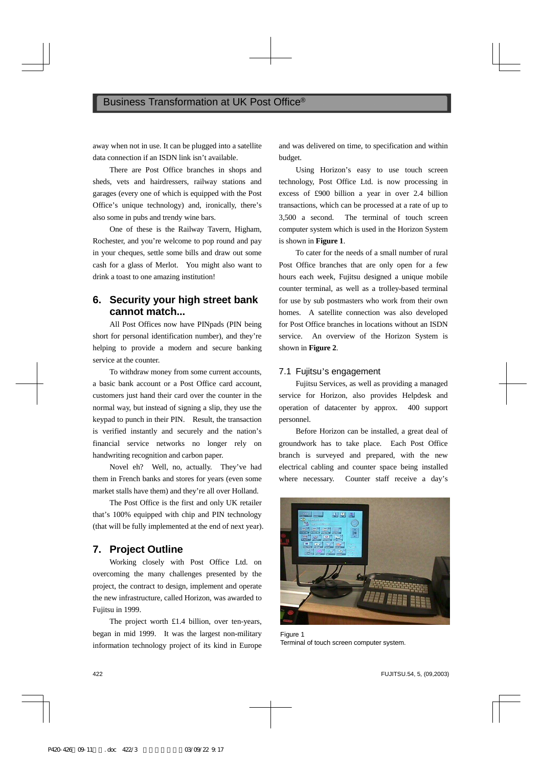away when not in use. It can be plugged into a satellite data connection if an ISDN link isn't available.

There are Post Office branches in shops and sheds, vets and hairdressers, railway stations and garages (every one of which is equipped with the Post Office's unique technology) and, ironically, there's also some in pubs and trendy wine bars.

One of these is the Railway Tavern, Higham, Rochester, and you're welcome to pop round and pay in your cheques, settle some bills and draw out some cash for a glass of Merlot. You might also want to drink a toast to one amazing institution!

## **6. Security your high street bank cannot match...**

All Post Offices now have PINpads (PIN being short for personal identification number), and they're helping to provide a modern and secure banking service at the counter.

To withdraw money from some current accounts, a basic bank account or a Post Office card account, customers just hand their card over the counter in the normal way, but instead of signing a slip, they use the keypad to punch in their PIN. Result, the transaction is verified instantly and securely and the nation's financial service networks no longer rely on handwriting recognition and carbon paper.

Novel eh? Well, no, actually. They've had them in French banks and stores for years (even some market stalls have them) and they're all over Holland.

The Post Office is the first and only UK retailer that's 100% equipped with chip and PIN technology (that will be fully implemented at the end of next year).

# **7. Project Outline**

Working closely with Post Office Ltd. on overcoming the many challenges presented by the project, the contract to design, implement and operate the new infrastructure, called Horizon, was awarded to Fujitsu in 1999.

The project worth £1.4 billion, over ten-years, began in mid 1999. It was the largest non-military information technology project of its kind in Europe and was delivered on time, to specification and within budget.

Using Horizon's easy to use touch screen technology, Post Office Ltd. is now processing in excess of £900 billion a year in over 2.4 billion transactions, which can be processed at a rate of up to 3,500 a second. The terminal of touch screen computer system which is used in the Horizon System is shown in **Figure 1**.

To cater for the needs of a small number of rural Post Office branches that are only open for a few hours each week, Fujitsu designed a unique mobile counter terminal, as well as a trolley-based terminal for use by sub postmasters who work from their own homes. A satellite connection was also developed for Post Office branches in locations without an ISDN service. An overview of the Horizon System is shown in **Figure 2**.

#### 7.1 Fujitsu's engagement

Fujitsu Services, as well as providing a managed service for Horizon, also provides Helpdesk and operation of datacenter by approx. 400 support personnel.

Before Horizon can be installed, a great deal of groundwork has to take place. Each Post Office branch is surveyed and prepared, with the new electrical cabling and counter space being installed where necessary. Counter staff receive a day's



Figure 1 Terminal of touch screen computer system.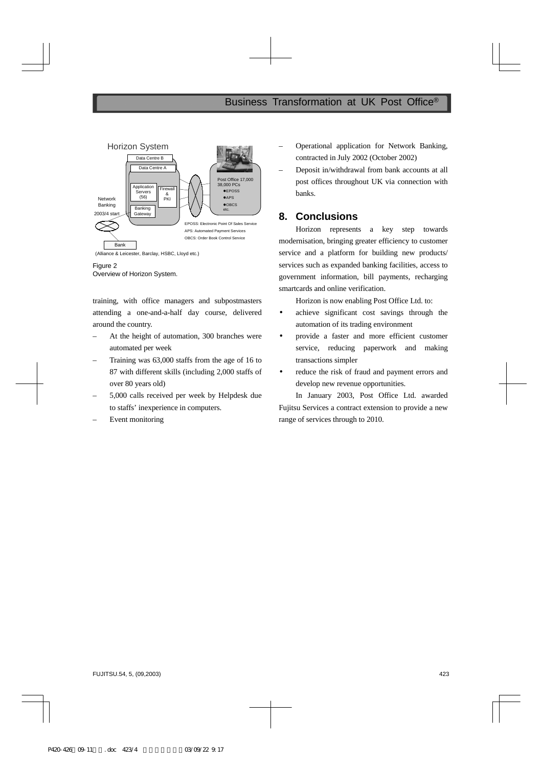

Figure 2 Overview of Horizon System.

training, with office managers and subpostmasters attending a one-and-a-half day course, delivered around the country.

- At the height of automation, 300 branches were automated per week
- Training was 63,000 staffs from the age of 16 to 87 with different skills (including 2,000 staffs of over 80 years old)
- 5,000 calls received per week by Helpdesk due to staffs' inexperience in computers.
- Event monitoring
- Operational application for Network Banking, contracted in July 2002 (October 2002)
- Deposit in/withdrawal from bank accounts at all post offices throughout UK via connection with banks.

# **8. Conclusions**

Horizon represents a key step towards modernisation, bringing greater efficiency to customer service and a platform for building new products/ services such as expanded banking facilities, access to government information, bill payments, recharging smartcards and online verification.

Horizon is now enabling Post Office Ltd. to:

- achieve significant cost savings through the automation of its trading environment
- provide a faster and more efficient customer service, reducing paperwork and making transactions simpler
- reduce the risk of fraud and payment errors and develop new revenue opportunities.

In January 2003, Post Office Ltd. awarded Fujitsu Services a contract extension to provide a new range of services through to 2010.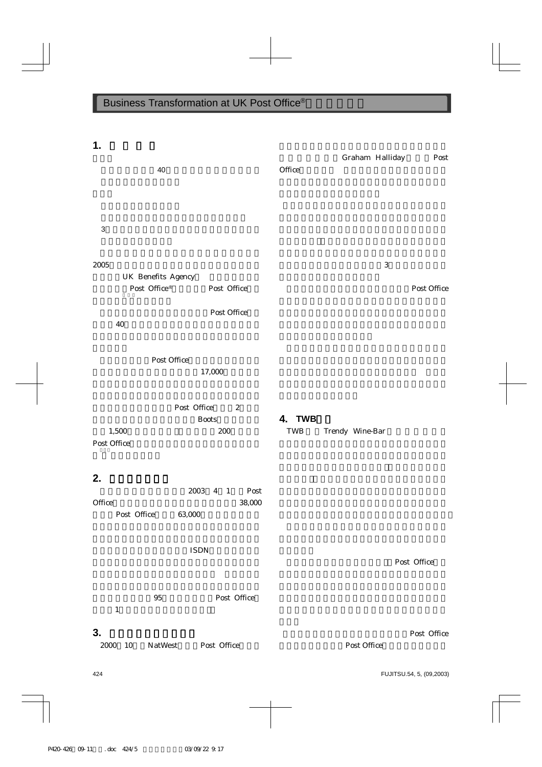| 1.                                                                                                               |                       | Graham Halliday | Post        |
|------------------------------------------------------------------------------------------------------------------|-----------------------|-----------------|-------------|
| 40                                                                                                               | Office                |                 |             |
| $\sqrt{3}$                                                                                                       |                       |                 |             |
| 2005<br>UK Benefits Agency<br>Post $\operatorname{Office}^{\circledast}$<br>Post Office<br>Post Office<br>$40\,$ |                       | $\sqrt{3}$      | Post Office |
| Post Office<br>17,000                                                                                            |                       |                 |             |
| Post Office<br>$\sqrt{2}$<br><b>Boots</b><br>1,500<br>$200\,$<br>Post Office                                     | 4. TWB<br>${\bf TWB}$ | Trendy Wine-Bar |             |
| 2.<br>2003<br>Post<br>$4 \quad 1$<br>38,000<br>Office<br>Post Office<br>63,000                                   |                       |                 |             |
| $\ensuremath{\mathsf{ISDN}}$                                                                                     |                       |                 | Post Office |
| Post Office<br>$\bf 95$<br>$\mathbf 1$                                                                           |                       |                 |             |
| 3.<br>2000<br>Post Office<br>10<br>NatWest                                                                       |                       | Post Office     | Post Office |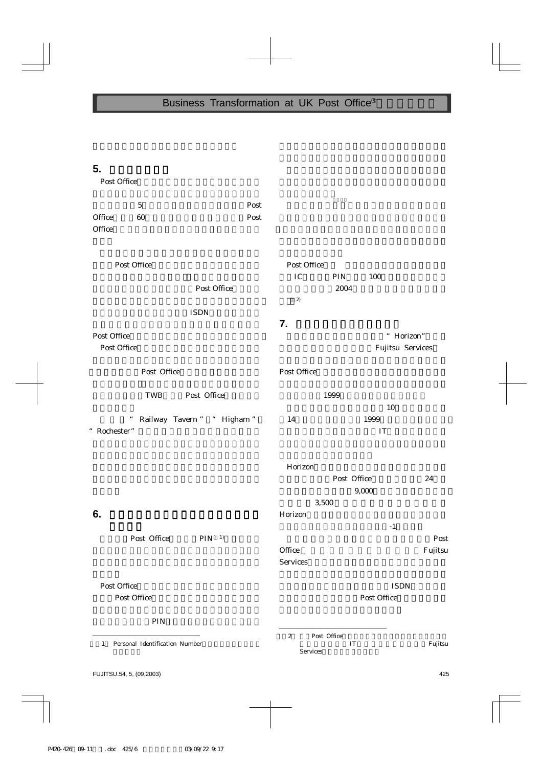# **5.** プロセスの逆転 プロセスの逆転

Post Office

|                                     | $\bf 5$                                   | Post         |                           |                                           |             |         |
|-------------------------------------|-------------------------------------------|--------------|---------------------------|-------------------------------------------|-------------|---------|
| Office                              | 60                                        | Post         |                           |                                           |             |         |
| Office                              |                                           |              |                           |                                           |             |         |
|                                     |                                           |              |                           |                                           |             |         |
| Post Office                         |                                           | Post Office  |                           |                                           |             |         |
|                                     |                                           |              | ${\rm IC}$                | $\rm PIN$                                 | 100         |         |
|                                     |                                           | Post Office  | $\left( \quad 2\right)$   | 2004                                      |             |         |
|                                     |                                           | <b>ISDN</b>  |                           |                                           |             |         |
|                                     |                                           |              | 7.                        |                                           |             |         |
| Post Office                         |                                           |              |                           |                                           | " Horizon"  |         |
| Post Office                         |                                           |              |                           | Fujitsu Services                          |             |         |
|                                     |                                           |              |                           |                                           |             |         |
|                                     | Post Office                               |              | Post Office               |                                           |             |         |
| Post Office<br>TWB                  |                                           |              | 1999                      |                                           |             |         |
|                                     |                                           |              |                           |                                           | 10          |         |
|                                     | Railway Tavern " " Higham "<br>$\epsilon$ |              | 14                        |                                           | 1999        |         |
| " Rochester"                        |                                           |              |                           | IT                                        |             |         |
|                                     |                                           |              |                           |                                           |             |         |
|                                     |                                           |              |                           |                                           |             |         |
|                                     |                                           |              | Horizon                   | Post Office                               |             | 24      |
|                                     |                                           |              | 9,000                     |                                           |             |         |
|                                     |                                           |              | 3,500                     |                                           |             |         |
| 6.                                  |                                           |              | Horizon                   |                                           |             |         |
|                                     |                                           |              |                           |                                           | $-1$        |         |
|                                     | Post Office                               | $PIN^{(-1)}$ |                           |                                           |             | Post    |
|                                     |                                           |              | Office<br><b>Services</b> |                                           |             | Fujitsu |
|                                     |                                           |              |                           |                                           |             |         |
| Post Office                         |                                           |              |                           |                                           | <b>ISDN</b> |         |
|                                     | Post Office                               |              | Post Office               |                                           |             |         |
|                                     |                                           |              |                           |                                           |             |         |
|                                     | PIN                                       |              |                           |                                           |             |         |
| Personal Identification Number<br>1 |                                           |              | $\boldsymbol{2}$          | Post Office<br>$\ensuremath{\mathsf{IT}}$ |             | Fujitsu |
|                                     |                                           |              | Services                  |                                           |             |         |